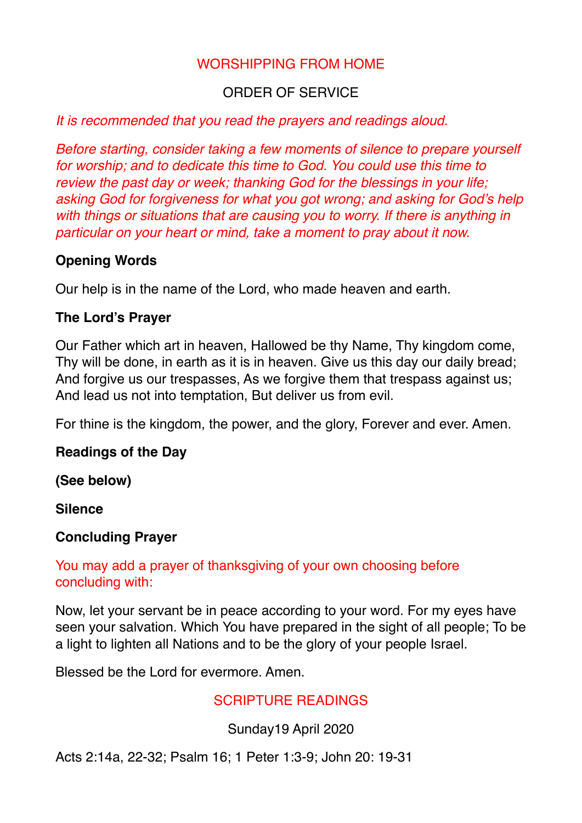# WORSHIPPING FROM HOME

# ORDER OF SERVICE

#### *It is recommended that you read the prayers and readings aloud.*

*Before starting, consider taking a few moments of silence to prepare yourself for worship; and to dedicate this time to God. You could use this time to review the past day or week; thanking God for the blessings in your life; asking God for forgiveness for what you got wrong; and asking for God's help with things or situations that are causing you to worry. If there is anything in particular on your heart or mind, take a moment to pray about it now.* 

## **Opening Words**

Our help is in the name of the Lord, who made heaven and earth.

## **The Lord's Prayer**

Our Father which art in heaven, Hallowed be thy Name, Thy kingdom come, Thy will be done, in earth as it is in heaven. Give us this day our daily bread; And forgive us our trespasses, As we forgive them that trespass against us; And lead us not into temptation, But deliver us from evil.

For thine is the kingdom, the power, and the glory, Forever and ever. Amen.

## **Readings of the Day**

**(See below)** 

**Silence** 

## **Concluding Prayer**

## You may add a prayer of thanksgiving of your own choosing before concluding with:

Now, let your servant be in peace according to your word. For my eyes have seen your salvation. Which You have prepared in the sight of all people; To be a light to lighten all Nations and to be the glory of your people Israel.

Blessed be the Lord for evermore. Amen.

## SCRIPTURE READINGS

## Sunday19 April 2020

Acts 2:14a, 22-32; Psalm 16; 1 Peter 1:3-9; John 20: 19-31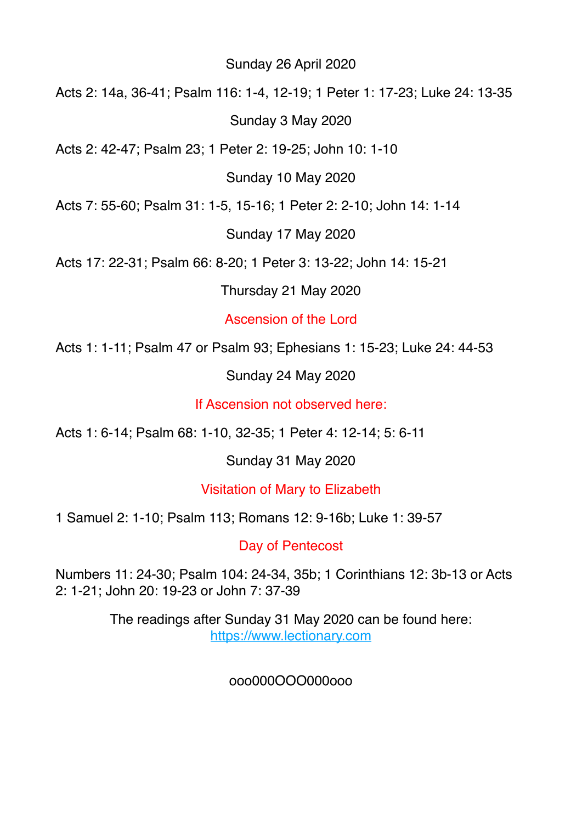Sunday 26 April 2020

Acts 2: 14a, 36-41; Psalm 116: 1-4, 12-19; 1 Peter 1: 17-23; Luke 24: 13-35 Sunday 3 May 2020

Acts 2: 42-47; Psalm 23; 1 Peter 2: 19-25; John 10: 1-10

Sunday 10 May 2020

Acts 7: 55-60; Psalm 31: 1-5, 15-16; 1 Peter 2: 2-10; John 14: 1-14

Sunday 17 May 2020

Acts 17: 22-31; Psalm 66: 8-20; 1 Peter 3: 13-22; John 14: 15-21

Thursday 21 May 2020

Ascension of the Lord

Acts 1: 1-11; Psalm 47 or Psalm 93; Ephesians 1: 15-23; Luke 24: 44-53

Sunday 24 May 2020

If Ascension not observed here:

Acts 1: 6-14; Psalm 68: 1-10, 32-35; 1 Peter 4: 12-14; 5: 6-11

Sunday 31 May 2020

Visitation of Mary to Elizabeth

1 Samuel 2: 1-10; Psalm 113; Romans 12: 9-16b; Luke 1: 39-57

Day of Pentecost

Numbers 11: 24-30; Psalm 104: 24-34, 35b; 1 Corinthians 12: 3b-13 or Acts 2: 1-21; John 20: 19-23 or John 7: 37-39

> The readings after Sunday 31 May 2020 can be found here: <https://www.lectionary.com>

> > ooo000OOO000ooo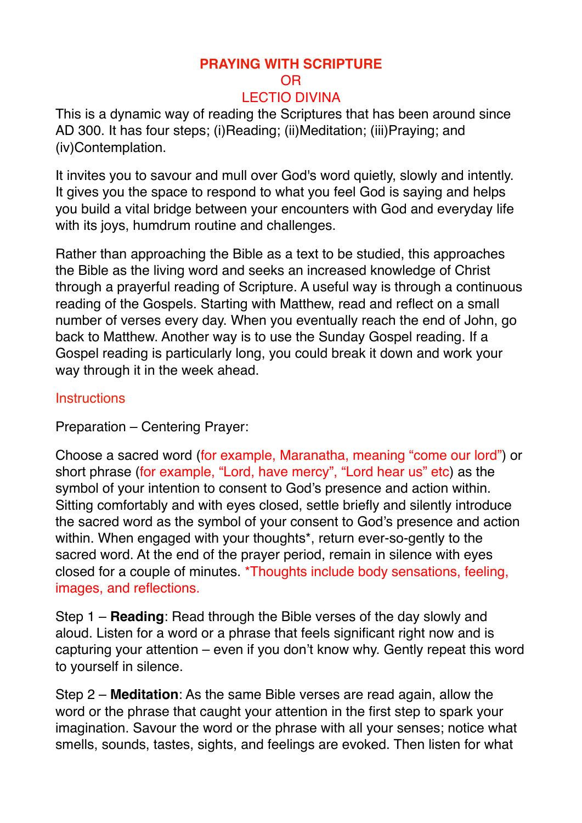## **PRAYING WITH SCRIPTURE**  OR LECTIO DIVINA

This is a dynamic way of reading the Scriptures that has been around since AD 300. It has four steps; (i)Reading; (ii)Meditation; (iii)Praying; and (iv)Contemplation.

It invites you to savour and mull over God's word quietly, slowly and intently. It gives you the space to respond to what you feel God is saying and helps you build a vital bridge between your encounters with God and everyday life with its joys, humdrum routine and challenges.

Rather than approaching the Bible as a text to be studied, this approaches the Bible as the living word and seeks an increased knowledge of Christ through a prayerful reading of Scripture. A useful way is through a continuous reading of the Gospels. Starting with Matthew, read and reflect on a small number of verses every day. When you eventually reach the end of John, go back to Matthew. Another way is to use the Sunday Gospel reading. If a Gospel reading is particularly long, you could break it down and work your way through it in the week ahead.

## **Instructions**

Preparation – Centering Prayer:

Choose a sacred word (for example, Maranatha, meaning "come our lord") or short phrase (for example, "Lord, have mercy", "Lord hear us" etc) as the symbol of your intention to consent to God's presence and action within. Sitting comfortably and with eyes closed, settle briefly and silently introduce the sacred word as the symbol of your consent to God's presence and action within. When engaged with your thoughts\*, return ever-so-gently to the sacred word. At the end of the prayer period, remain in silence with eyes closed for a couple of minutes. \*Thoughts include body sensations, feeling, images, and reflections.

Step 1 – **Reading**: Read through the Bible verses of the day slowly and aloud. Listen for a word or a phrase that feels significant right now and is capturing your attention – even if you don't know why. Gently repeat this word to yourself in silence.

Step 2 – **Meditation**: As the same Bible verses are read again, allow the word or the phrase that caught your attention in the first step to spark your imagination. Savour the word or the phrase with all your senses; notice what smells, sounds, tastes, sights, and feelings are evoked. Then listen for what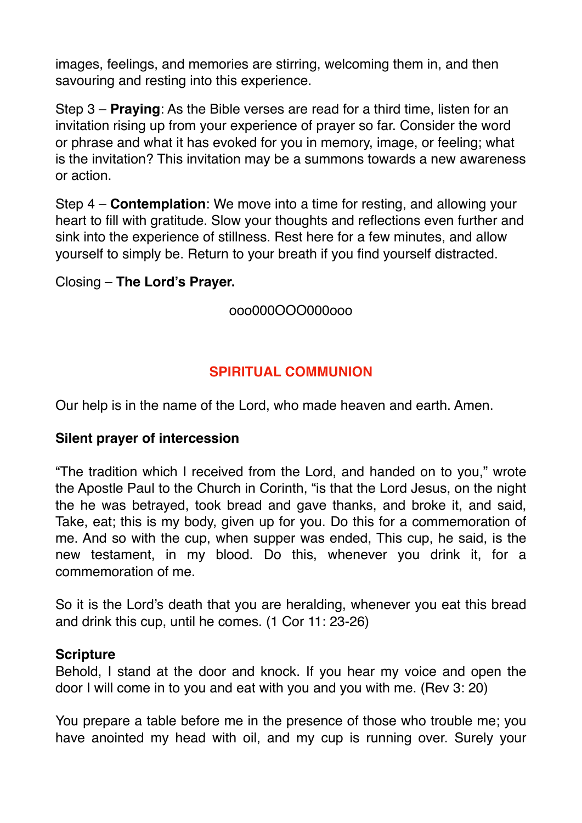images, feelings, and memories are stirring, welcoming them in, and then savouring and resting into this experience.

Step 3 – **Praying**: As the Bible verses are read for a third time, listen for an invitation rising up from your experience of prayer so far. Consider the word or phrase and what it has evoked for you in memory, image, or feeling; what is the invitation? This invitation may be a summons towards a new awareness or action.

Step 4 – **Contemplation**: We move into a time for resting, and allowing your heart to fill with gratitude. Slow your thoughts and reflections even further and sink into the experience of stillness. Rest here for a few minutes, and allow yourself to simply be. Return to your breath if you find yourself distracted.

Closing – **The Lord's Prayer.**

ooo000OOO000ooo

# **SPIRITUAL COMMUNION**

Our help is in the name of the Lord, who made heaven and earth. Amen.

# **Silent prayer of intercession**

"The tradition which I received from the Lord, and handed on to you," wrote the Apostle Paul to the Church in Corinth, "is that the Lord Jesus, on the night the he was betrayed, took bread and gave thanks, and broke it, and said, Take, eat; this is my body, given up for you. Do this for a commemoration of me. And so with the cup, when supper was ended, This cup, he said, is the new testament, in my blood. Do this, whenever you drink it, for a commemoration of me.

So it is the Lord's death that you are heralding, whenever you eat this bread and drink this cup, until he comes. (1 Cor 11: 23-26)

## **Scripture**

Behold, I stand at the door and knock. If you hear my voice and open the door I will come in to you and eat with you and you with me. (Rev 3: 20)

You prepare a table before me in the presence of those who trouble me; you have anointed my head with oil, and my cup is running over. Surely your